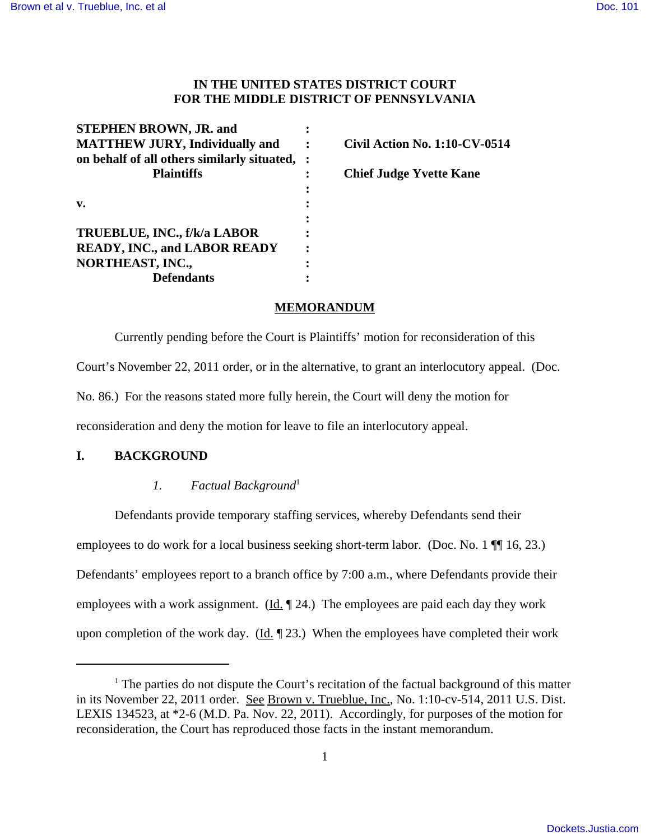# **IN THE UNITED STATES DISTRICT COURT FOR THE MIDDLE DISTRICT OF PENNSYLVANIA**

| <b>STEPHEN BROWN, JR. and</b>                 |                                      |
|-----------------------------------------------|--------------------------------------|
| <b>MATTHEW JURY, Individually and</b>         | <b>Civil Action No. 1:10-CV-0514</b> |
| on behalf of all others similarly situated, : |                                      |
| <b>Plaintiffs</b>                             | <b>Chief Judge Yvette Kane</b>       |
|                                               |                                      |
| v.                                            |                                      |
|                                               |                                      |
| TRUEBLUE, INC., f/k/a LABOR                   |                                      |
| <b>READY, INC., and LABOR READY</b>           |                                      |
| NORTHEAST, INC.,                              |                                      |
| Defendants                                    |                                      |

## **MEMORANDUM**

Currently pending before the Court is Plaintiffs' motion for reconsideration of this Court's November 22, 2011 order, or in the alternative, to grant an interlocutory appeal. (Doc. No. 86.) For the reasons stated more fully herein, the Court will deny the motion for reconsideration and deny the motion for leave to file an interlocutory appeal.

# **I. BACKGROUND**

### *1. Factual Background*<sup>1</sup>

Defendants provide temporary staffing services, whereby Defendants send their employees to do work for a local business seeking short-term labor. (Doc. No. 1  $\P$  16, 23.) Defendants' employees report to a branch office by 7:00 a.m., where Defendants provide their employees with a work assignment.  $(\underline{Id} \cdot \P 24)$  The employees are paid each day they work upon completion of the work day.  $(\underline{Id}, \P 23)$ . When the employees have completed their work

 $<sup>1</sup>$  The parties do not dispute the Court's recitation of the factual background of this matter</sup> in its November 22, 2011 order. See Brown v. Trueblue, Inc., No. 1:10-cv-514, 2011 U.S. Dist. LEXIS 134523, at \*2-6 (M.D. Pa. Nov. 22, 2011). Accordingly, for purposes of the motion for reconsideration, the Court has reproduced those facts in the instant memorandum.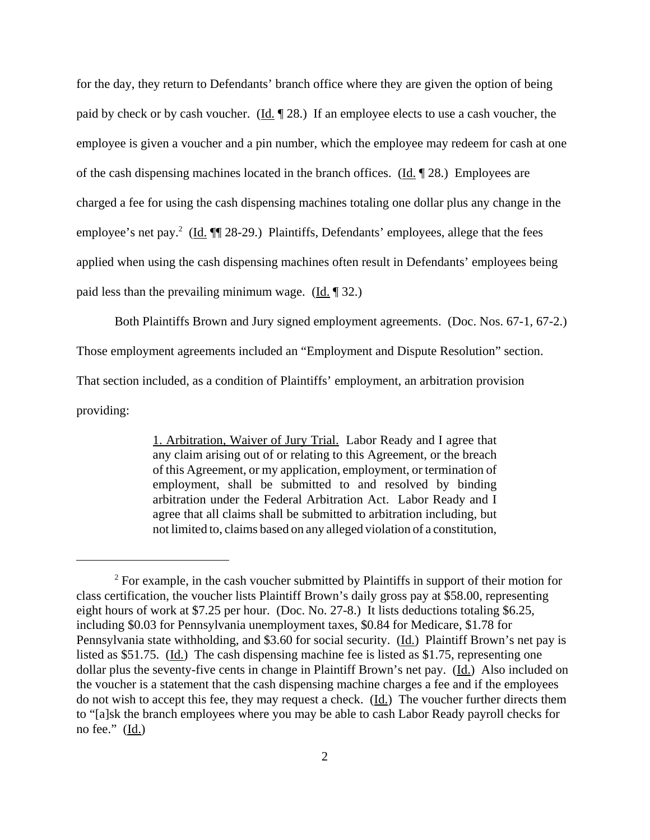for the day, they return to Defendants' branch office where they are given the option of being paid by check or by cash voucher. (Id.  $\parallel$  28.) If an employee elects to use a cash voucher, the employee is given a voucher and a pin number, which the employee may redeem for cash at one of the cash dispensing machines located in the branch offices. ( $\underline{Id}$ ,  $\P$  28.) Employees are charged a fee for using the cash dispensing machines totaling one dollar plus any change in the employee's net pay.<sup>2</sup> (Id. ¶ 28-29.) Plaintiffs, Defendants' employees, allege that the fees applied when using the cash dispensing machines often result in Defendants' employees being paid less than the prevailing minimum wage.  $(\underline{Id}, \P 32)$ .

Both Plaintiffs Brown and Jury signed employment agreements. (Doc. Nos. 67-1, 67-2.)

Those employment agreements included an "Employment and Dispute Resolution" section.

That section included, as a condition of Plaintiffs' employment, an arbitration provision

providing:

1. Arbitration, Waiver of Jury Trial. Labor Ready and I agree that any claim arising out of or relating to this Agreement, or the breach of this Agreement, or my application, employment, or termination of employment, shall be submitted to and resolved by binding arbitration under the Federal Arbitration Act. Labor Ready and I agree that all claims shall be submitted to arbitration including, but not limited to, claims based on any alleged violation of a constitution,

 $2^2$  For example, in the cash voucher submitted by Plaintiffs in support of their motion for class certification, the voucher lists Plaintiff Brown's daily gross pay at \$58.00, representing eight hours of work at \$7.25 per hour. (Doc. No. 27-8.) It lists deductions totaling \$6.25, including \$0.03 for Pennsylvania unemployment taxes, \$0.84 for Medicare, \$1.78 for Pennsylvania state withholding, and \$3.60 for social security. (Id.) Plaintiff Brown's net pay is listed as \$51.75. (Id.) The cash dispensing machine fee is listed as \$1.75, representing one dollar plus the seventy-five cents in change in Plaintiff Brown's net pay. (Id.) Also included on the voucher is a statement that the cash dispensing machine charges a fee and if the employees do not wish to accept this fee, they may request a check. (Id.) The voucher further directs them to "[a]sk the branch employees where you may be able to cash Labor Ready payroll checks for no fee."  $(\underline{Id.})$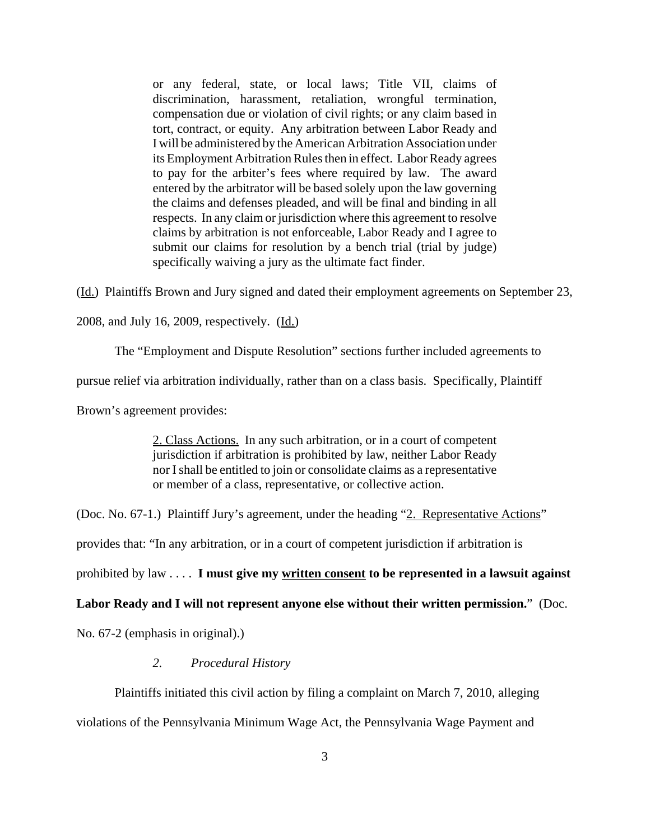or any federal, state, or local laws; Title VII, claims of discrimination, harassment, retaliation, wrongful termination, compensation due or violation of civil rights; or any claim based in tort, contract, or equity. Any arbitration between Labor Ready and I will be administered by the American Arbitration Association under its Employment Arbitration Rules then in effect. Labor Ready agrees to pay for the arbiter's fees where required by law. The award entered by the arbitrator will be based solely upon the law governing the claims and defenses pleaded, and will be final and binding in all respects. In any claim or jurisdiction where this agreement to resolve claims by arbitration is not enforceable, Labor Ready and I agree to submit our claims for resolution by a bench trial (trial by judge) specifically waiving a jury as the ultimate fact finder.

(Id.) Plaintiffs Brown and Jury signed and dated their employment agreements on September 23,

2008, and July 16, 2009, respectively. (Id.)

The "Employment and Dispute Resolution" sections further included agreements to

pursue relief via arbitration individually, rather than on a class basis. Specifically, Plaintiff

Brown's agreement provides:

2. Class Actions. In any such arbitration, or in a court of competent jurisdiction if arbitration is prohibited by law, neither Labor Ready nor I shall be entitled to join or consolidate claims as a representative or member of a class, representative, or collective action.

(Doc. No. 67-1.) Plaintiff Jury's agreement, under the heading "2. Representative Actions"

provides that: "In any arbitration, or in a court of competent jurisdiction if arbitration is

prohibited by law . . . . **I must give my written consent to be represented in a lawsuit against**

**Labor Ready and I will not represent anyone else without their written permission.**" (Doc.

No. 67-2 (emphasis in original).)

#### *2. Procedural History*

Plaintiffs initiated this civil action by filing a complaint on March 7, 2010, alleging violations of the Pennsylvania Minimum Wage Act, the Pennsylvania Wage Payment and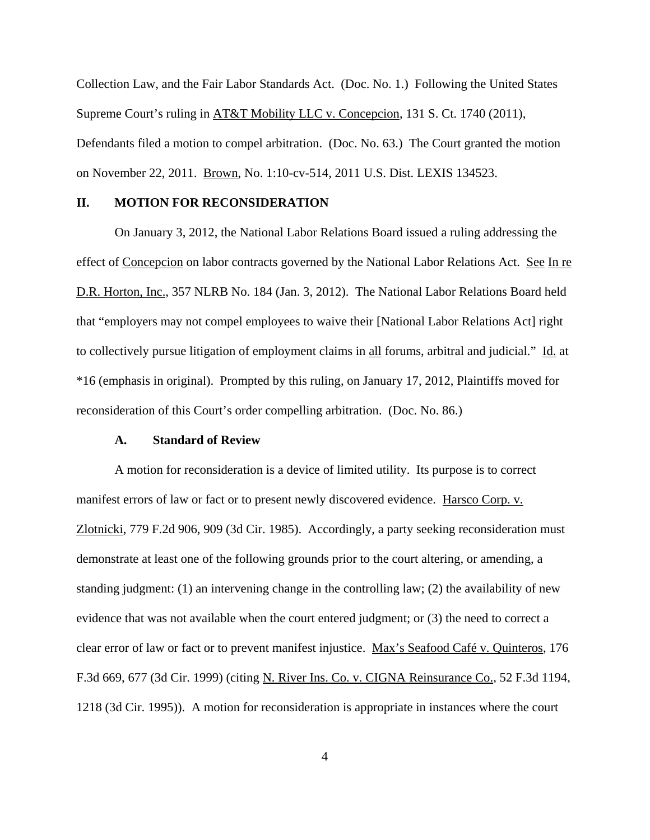Collection Law, and the Fair Labor Standards Act. (Doc. No. 1.) Following the United States Supreme Court's ruling in AT&T Mobility LLC v. Concepcion, 131 S. Ct. 1740 (2011), Defendants filed a motion to compel arbitration. (Doc. No. 63.) The Court granted the motion on November 22, 2011. Brown, No. 1:10-cv-514, 2011 U.S. Dist. LEXIS 134523.

#### **II. MOTION FOR RECONSIDERATION**

On January 3, 2012, the National Labor Relations Board issued a ruling addressing the effect of Concepcion on labor contracts governed by the National Labor Relations Act. See In re D.R. Horton, Inc., 357 NLRB No. 184 (Jan. 3, 2012). The National Labor Relations Board held that "employers may not compel employees to waive their [National Labor Relations Act] right to collectively pursue litigation of employment claims in all forums, arbitral and judicial." Id. at \*16 (emphasis in original). Prompted by this ruling, on January 17, 2012, Plaintiffs moved for reconsideration of this Court's order compelling arbitration. (Doc. No. 86.)

### **A. Standard of Review**

A motion for reconsideration is a device of limited utility. Its purpose is to correct manifest errors of law or fact or to present newly discovered evidence. Harsco Corp. v. Zlotnicki, 779 F.2d 906, 909 (3d Cir. 1985). Accordingly, a party seeking reconsideration must demonstrate at least one of the following grounds prior to the court altering, or amending, a standing judgment: (1) an intervening change in the controlling law; (2) the availability of new evidence that was not available when the court entered judgment; or (3) the need to correct a clear error of law or fact or to prevent manifest injustice. Max's Seafood Café v. Quinteros, 176 F.3d 669, 677 (3d Cir. 1999) (citing N. River Ins. Co. v. CIGNA Reinsurance Co., 52 F.3d 1194, 1218 (3d Cir. 1995)). A motion for reconsideration is appropriate in instances where the court

4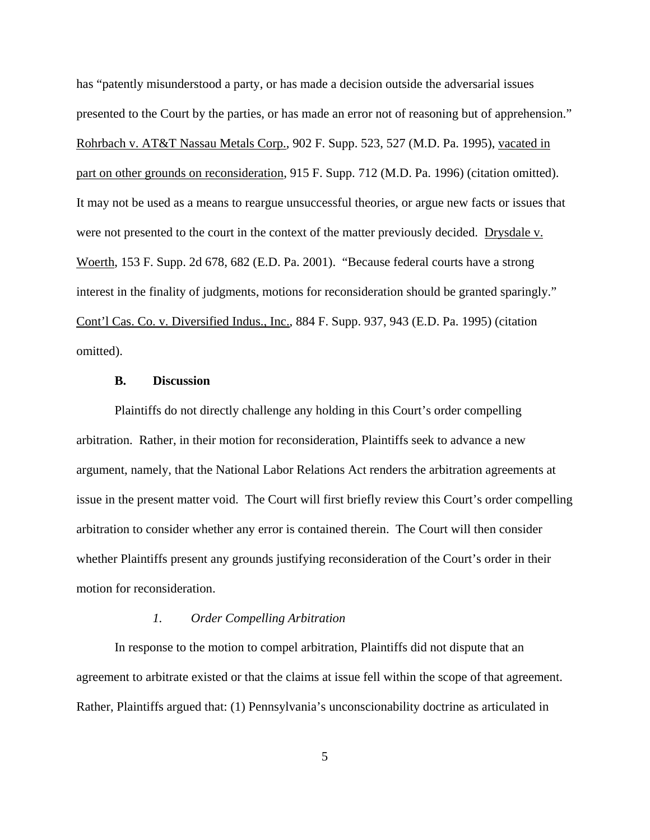has "patently misunderstood a party, or has made a decision outside the adversarial issues presented to the Court by the parties, or has made an error not of reasoning but of apprehension." Rohrbach v. AT&T Nassau Metals Corp., 902 F. Supp. 523, 527 (M.D. Pa. 1995), vacated in part on other grounds on reconsideration, 915 F. Supp. 712 (M.D. Pa. 1996) (citation omitted). It may not be used as a means to reargue unsuccessful theories, or argue new facts or issues that were not presented to the court in the context of the matter previously decided. Drysdale v. Woerth, 153 F. Supp. 2d 678, 682 (E.D. Pa. 2001). "Because federal courts have a strong interest in the finality of judgments, motions for reconsideration should be granted sparingly." Cont'l Cas. Co. v. Diversified Indus., Inc., 884 F. Supp. 937, 943 (E.D. Pa. 1995) (citation omitted).

### **B. Discussion**

Plaintiffs do not directly challenge any holding in this Court's order compelling arbitration. Rather, in their motion for reconsideration, Plaintiffs seek to advance a new argument, namely, that the National Labor Relations Act renders the arbitration agreements at issue in the present matter void. The Court will first briefly review this Court's order compelling arbitration to consider whether any error is contained therein. The Court will then consider whether Plaintiffs present any grounds justifying reconsideration of the Court's order in their motion for reconsideration.

## *1. Order Compelling Arbitration*

In response to the motion to compel arbitration, Plaintiffs did not dispute that an agreement to arbitrate existed or that the claims at issue fell within the scope of that agreement. Rather, Plaintiffs argued that: (1) Pennsylvania's unconscionability doctrine as articulated in

5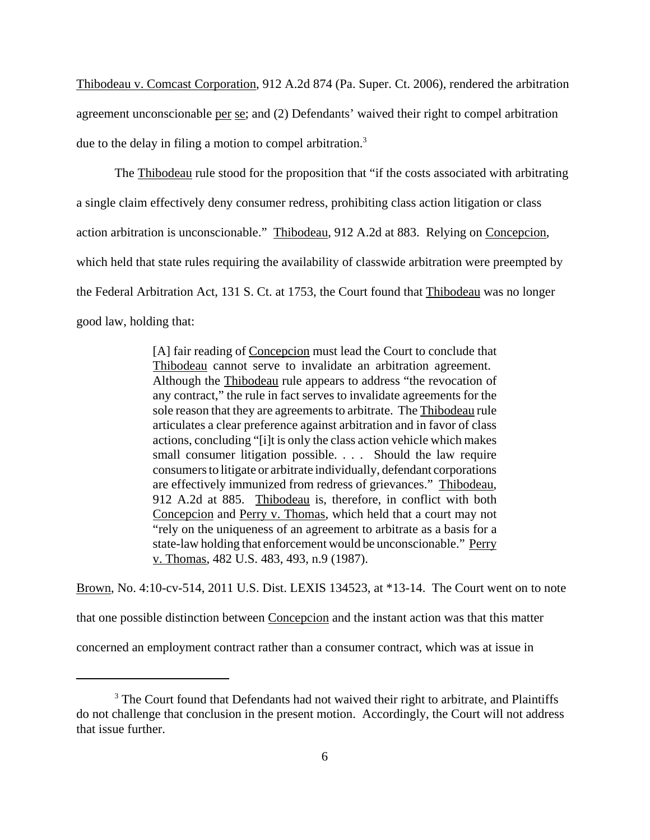Thibodeau v. Comcast Corporation, 912 A.2d 874 (Pa. Super. Ct. 2006), rendered the arbitration agreement unconscionable per se; and (2) Defendants' waived their right to compel arbitration due to the delay in filing a motion to compel arbitration.<sup>3</sup>

The Thibodeau rule stood for the proposition that "if the costs associated with arbitrating a single claim effectively deny consumer redress, prohibiting class action litigation or class action arbitration is unconscionable." Thibodeau, 912 A.2d at 883. Relying on Concepcion, which held that state rules requiring the availability of classwide arbitration were preempted by the Federal Arbitration Act, 131 S. Ct. at 1753, the Court found that Thibodeau was no longer good law, holding that:

> [A] fair reading of Concepcion must lead the Court to conclude that Thibodeau cannot serve to invalidate an arbitration agreement. Although the Thibodeau rule appears to address "the revocation of any contract," the rule in fact serves to invalidate agreements for the sole reason that they are agreements to arbitrate. The Thibodeau rule articulates a clear preference against arbitration and in favor of class actions, concluding "[i]t is only the class action vehicle which makes small consumer litigation possible. . . . Should the law require consumers to litigate or arbitrate individually, defendant corporations are effectively immunized from redress of grievances." Thibodeau, 912 A.2d at 885. Thibodeau is, therefore, in conflict with both Concepcion and Perry v. Thomas, which held that a court may not "rely on the uniqueness of an agreement to arbitrate as a basis for a state-law holding that enforcement would be unconscionable." Perry v. Thomas, 482 U.S. 483, 493, n.9 (1987).

Brown, No. 4:10-cv-514, 2011 U.S. Dist. LEXIS 134523, at \*13-14. The Court went on to note

that one possible distinction between Concepcion and the instant action was that this matter

concerned an employment contract rather than a consumer contract, which was at issue in

<sup>&</sup>lt;sup>3</sup> The Court found that Defendants had not waived their right to arbitrate, and Plaintiffs do not challenge that conclusion in the present motion. Accordingly, the Court will not address that issue further.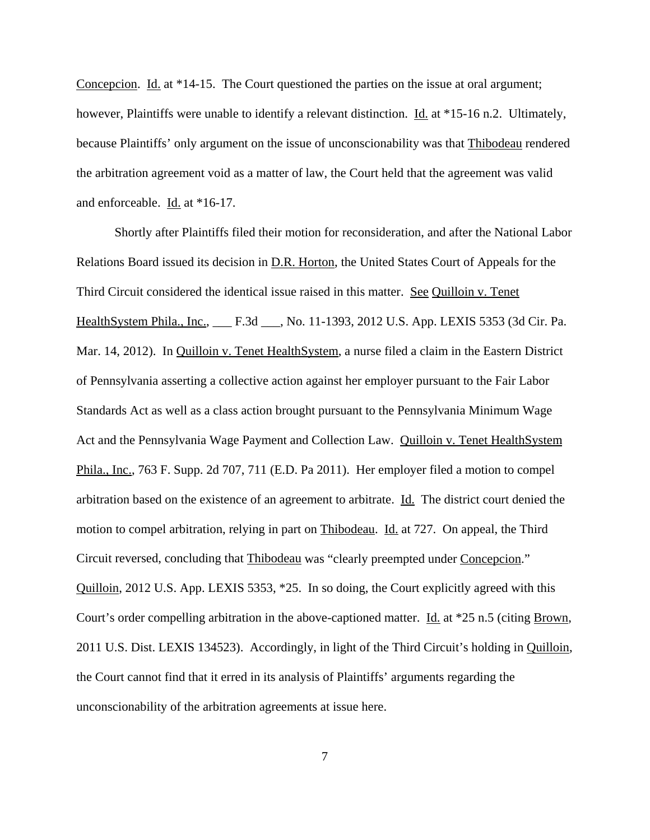Concepcion. Id. at \*14-15. The Court questioned the parties on the issue at oral argument; however, Plaintiffs were unable to identify a relevant distinction. Id. at \*15-16 n.2. Ultimately, because Plaintiffs' only argument on the issue of unconscionability was that Thibodeau rendered the arbitration agreement void as a matter of law, the Court held that the agreement was valid and enforceable. Id. at \*16-17.

Shortly after Plaintiffs filed their motion for reconsideration, and after the National Labor Relations Board issued its decision in D.R. Horton, the United States Court of Appeals for the Third Circuit considered the identical issue raised in this matter. See Quilloin v. Tenet HealthSystem Phila., Inc., F.3d , No. 11-1393, 2012 U.S. App. LEXIS 5353 (3d Cir. Pa. Mar. 14, 2012). In Quilloin v. Tenet HealthSystem, a nurse filed a claim in the Eastern District of Pennsylvania asserting a collective action against her employer pursuant to the Fair Labor Standards Act as well as a class action brought pursuant to the Pennsylvania Minimum Wage Act and the Pennsylvania Wage Payment and Collection Law. Quilloin v. Tenet HealthSystem Phila., Inc., 763 F. Supp. 2d 707, 711 (E.D. Pa 2011). Her employer filed a motion to compel arbitration based on the existence of an agreement to arbitrate. Id. The district court denied the motion to compel arbitration, relying in part on Thibodeau. Id. at 727. On appeal, the Third Circuit reversed, concluding that Thibodeau was "clearly preempted under Concepcion." Quilloin, 2012 U.S. App. LEXIS 5353, \*25. In so doing, the Court explicitly agreed with this Court's order compelling arbitration in the above-captioned matter. <u>Id.</u> at \*25 n.5 (citing Brown, 2011 U.S. Dist. LEXIS 134523). Accordingly, in light of the Third Circuit's holding in Quilloin, the Court cannot find that it erred in its analysis of Plaintiffs' arguments regarding the unconscionability of the arbitration agreements at issue here.

7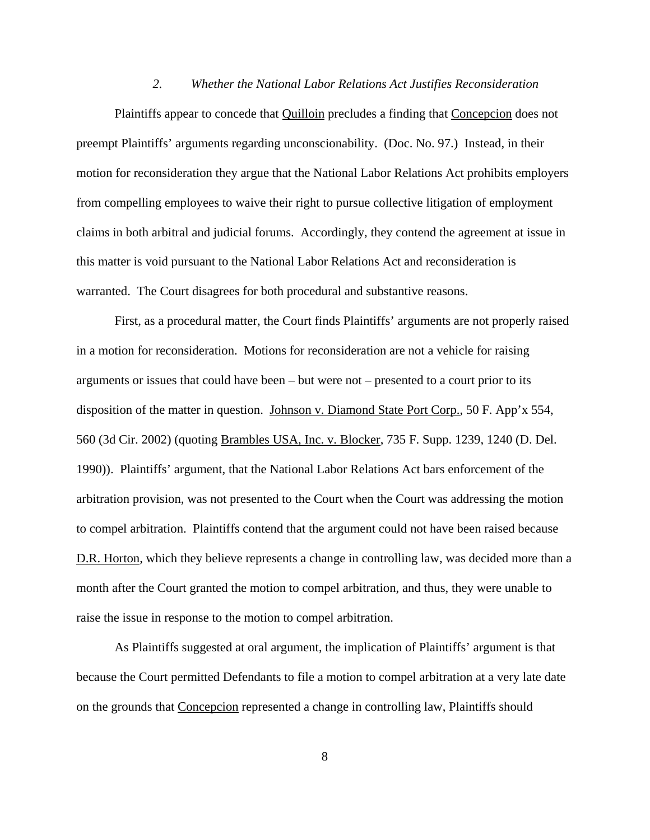### *2. Whether the National Labor Relations Act Justifies Reconsideration*

Plaintiffs appear to concede that Quilloin precludes a finding that Concepcion does not preempt Plaintiffs' arguments regarding unconscionability. (Doc. No. 97.) Instead, in their motion for reconsideration they argue that the National Labor Relations Act prohibits employers from compelling employees to waive their right to pursue collective litigation of employment claims in both arbitral and judicial forums. Accordingly, they contend the agreement at issue in this matter is void pursuant to the National Labor Relations Act and reconsideration is warranted. The Court disagrees for both procedural and substantive reasons.

First, as a procedural matter, the Court finds Plaintiffs' arguments are not properly raised in a motion for reconsideration. Motions for reconsideration are not a vehicle for raising arguments or issues that could have been – but were not – presented to a court prior to its disposition of the matter in question. Johnson v. Diamond State Port Corp., 50 F. App'x 554, 560 (3d Cir. 2002) (quoting Brambles USA, Inc. v. Blocker, 735 F. Supp. 1239, 1240 (D. Del. 1990)). Plaintiffs' argument, that the National Labor Relations Act bars enforcement of the arbitration provision, was not presented to the Court when the Court was addressing the motion to compel arbitration. Plaintiffs contend that the argument could not have been raised because D.R. Horton, which they believe represents a change in controlling law, was decided more than a month after the Court granted the motion to compel arbitration, and thus, they were unable to raise the issue in response to the motion to compel arbitration.

As Plaintiffs suggested at oral argument, the implication of Plaintiffs' argument is that because the Court permitted Defendants to file a motion to compel arbitration at a very late date on the grounds that Concepcion represented a change in controlling law, Plaintiffs should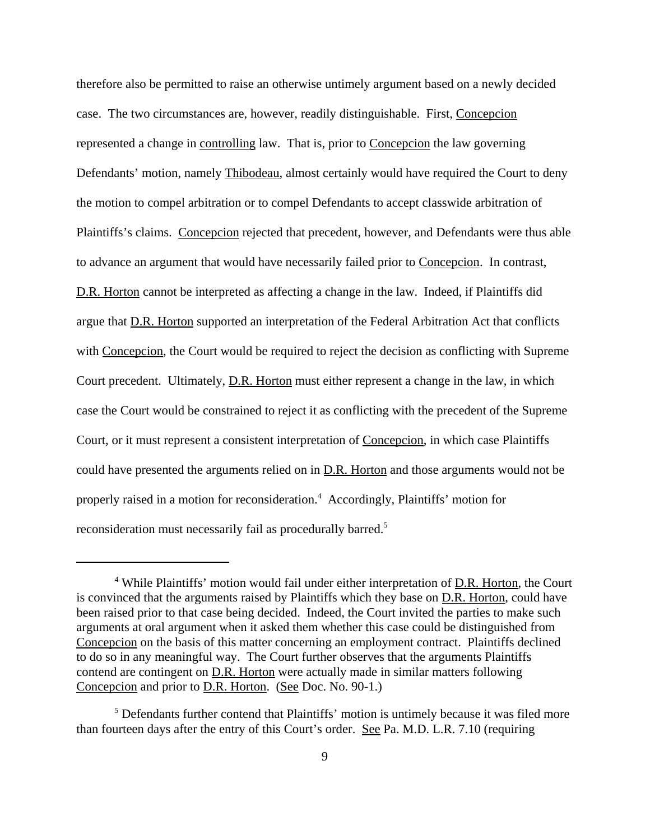therefore also be permitted to raise an otherwise untimely argument based on a newly decided case. The two circumstances are, however, readily distinguishable. First, Concepcion represented a change in controlling law. That is, prior to Concepcion the law governing Defendants' motion, namely Thibodeau, almost certainly would have required the Court to deny the motion to compel arbitration or to compel Defendants to accept classwide arbitration of Plaintiffs's claims. Concepcion rejected that precedent, however, and Defendants were thus able to advance an argument that would have necessarily failed prior to Concepcion. In contrast, D.R. Horton cannot be interpreted as affecting a change in the law. Indeed, if Plaintiffs did argue that D.R. Horton supported an interpretation of the Federal Arbitration Act that conflicts with Concepcion, the Court would be required to reject the decision as conflicting with Supreme Court precedent. Ultimately, D.R. Horton must either represent a change in the law, in which case the Court would be constrained to reject it as conflicting with the precedent of the Supreme Court, or it must represent a consistent interpretation of Concepcion, in which case Plaintiffs could have presented the arguments relied on in D.R. Horton and those arguments would not be properly raised in a motion for reconsideration.<sup>4</sup> Accordingly, Plaintiffs' motion for reconsideration must necessarily fail as procedurally barred.<sup>5</sup>

<sup>&</sup>lt;sup>4</sup> While Plaintiffs' motion would fail under either interpretation of D.R. Horton, the Court is convinced that the arguments raised by Plaintiffs which they base on D.R. Horton, could have been raised prior to that case being decided. Indeed, the Court invited the parties to make such arguments at oral argument when it asked them whether this case could be distinguished from Concepcion on the basis of this matter concerning an employment contract. Plaintiffs declined to do so in any meaningful way. The Court further observes that the arguments Plaintiffs contend are contingent on D.R. Horton were actually made in similar matters following Concepcion and prior to D.R. Horton. (See Doc. No. 90-1.)

<sup>&</sup>lt;sup>5</sup> Defendants further contend that Plaintiffs' motion is untimely because it was filed more than fourteen days after the entry of this Court's order. See Pa. M.D. L.R. 7.10 (requiring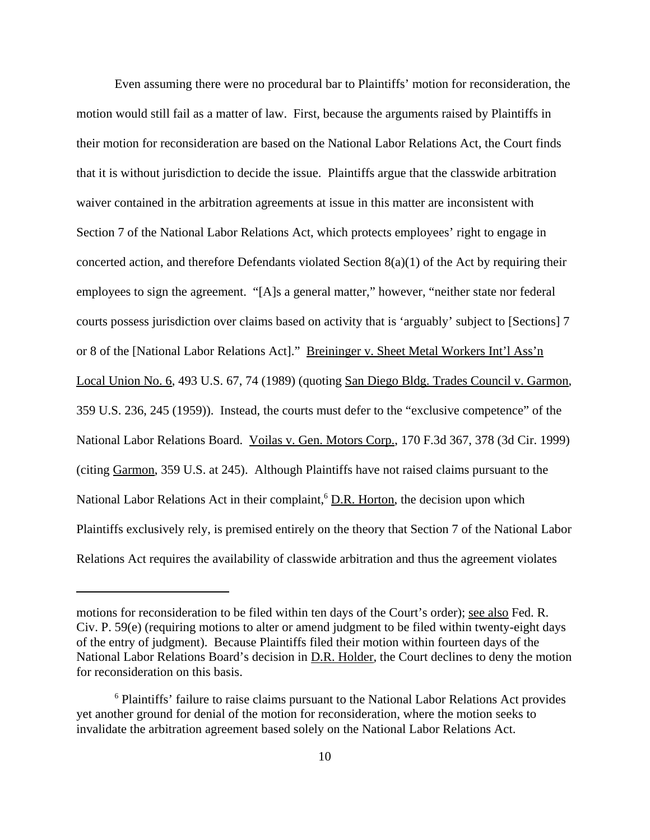Even assuming there were no procedural bar to Plaintiffs' motion for reconsideration, the motion would still fail as a matter of law. First, because the arguments raised by Plaintiffs in their motion for reconsideration are based on the National Labor Relations Act, the Court finds that it is without jurisdiction to decide the issue. Plaintiffs argue that the classwide arbitration waiver contained in the arbitration agreements at issue in this matter are inconsistent with Section 7 of the National Labor Relations Act, which protects employees' right to engage in concerted action, and therefore Defendants violated Section 8(a)(1) of the Act by requiring their employees to sign the agreement. "[A]s a general matter," however, "neither state nor federal courts possess jurisdiction over claims based on activity that is 'arguably' subject to [Sections] 7 or 8 of the [National Labor Relations Act]." Breininger v. Sheet Metal Workers Int'l Ass'n Local Union No. 6, 493 U.S. 67, 74 (1989) (quoting San Diego Bldg. Trades Council v. Garmon, 359 U.S. 236, 245 (1959)). Instead, the courts must defer to the "exclusive competence" of the National Labor Relations Board. Voilas v. Gen. Motors Corp., 170 F.3d 367, 378 (3d Cir. 1999) (citing Garmon, 359 U.S. at 245). Although Plaintiffs have not raised claims pursuant to the National Labor Relations Act in their complaint,<sup>6</sup> D.R. Horton, the decision upon which Plaintiffs exclusively rely, is premised entirely on the theory that Section 7 of the National Labor Relations Act requires the availability of classwide arbitration and thus the agreement violates

motions for reconsideration to be filed within ten days of the Court's order); see also Fed. R. Civ. P. 59(e) (requiring motions to alter or amend judgment to be filed within twenty-eight days of the entry of judgment). Because Plaintiffs filed their motion within fourteen days of the National Labor Relations Board's decision in D.R. Holder, the Court declines to deny the motion for reconsideration on this basis.

<sup>&</sup>lt;sup>6</sup> Plaintiffs' failure to raise claims pursuant to the National Labor Relations Act provides yet another ground for denial of the motion for reconsideration, where the motion seeks to invalidate the arbitration agreement based solely on the National Labor Relations Act.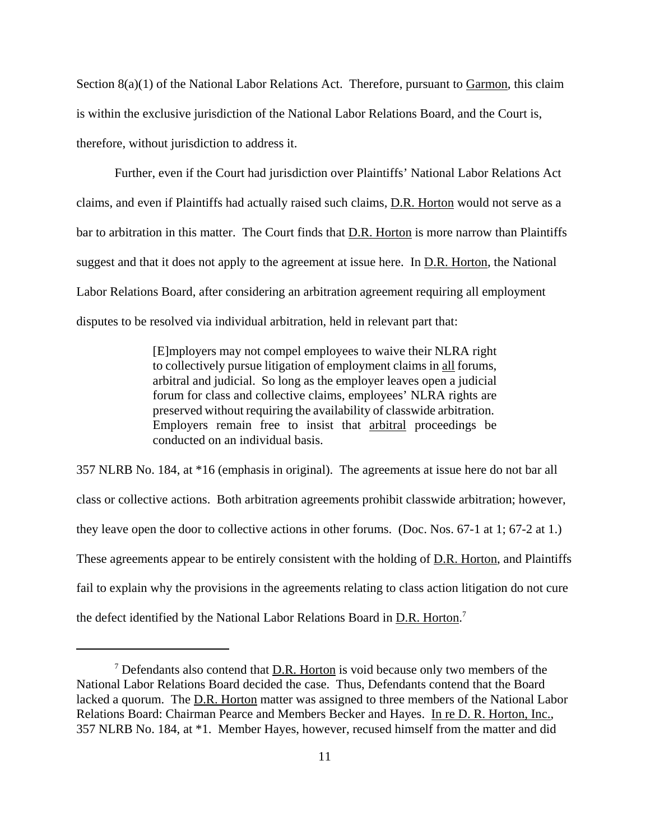Section  $8(a)(1)$  of the National Labor Relations Act. Therefore, pursuant to Garmon, this claim is within the exclusive jurisdiction of the National Labor Relations Board, and the Court is, therefore, without jurisdiction to address it.

Further, even if the Court had jurisdiction over Plaintiffs' National Labor Relations Act claims, and even if Plaintiffs had actually raised such claims, D.R. Horton would not serve as a bar to arbitration in this matter. The Court finds that D.R. Horton is more narrow than Plaintiffs suggest and that it does not apply to the agreement at issue here. In D.R. Horton, the National Labor Relations Board, after considering an arbitration agreement requiring all employment disputes to be resolved via individual arbitration, held in relevant part that:

> [E]mployers may not compel employees to waive their NLRA right to collectively pursue litigation of employment claims in all forums, arbitral and judicial. So long as the employer leaves open a judicial forum for class and collective claims, employees' NLRA rights are preserved without requiring the availability of classwide arbitration. Employers remain free to insist that arbitral proceedings be conducted on an individual basis.

357 NLRB No. 184, at \*16 (emphasis in original). The agreements at issue here do not bar all class or collective actions. Both arbitration agreements prohibit classwide arbitration; however, they leave open the door to collective actions in other forums. (Doc. Nos. 67-1 at 1; 67-2 at 1.) These agreements appear to be entirely consistent with the holding of D.R. Horton, and Plaintiffs fail to explain why the provisions in the agreements relating to class action litigation do not cure the defect identified by the National Labor Relations Board in D.R. Horton.<sup>7</sup>

 $<sup>7</sup>$  Defendants also contend that  $D.R.$  Horton is void because only two members of the</sup> National Labor Relations Board decided the case. Thus, Defendants contend that the Board lacked a quorum. The D.R. Horton matter was assigned to three members of the National Labor Relations Board: Chairman Pearce and Members Becker and Hayes. In re D. R. Horton, Inc., 357 NLRB No. 184, at \*1. Member Hayes, however, recused himself from the matter and did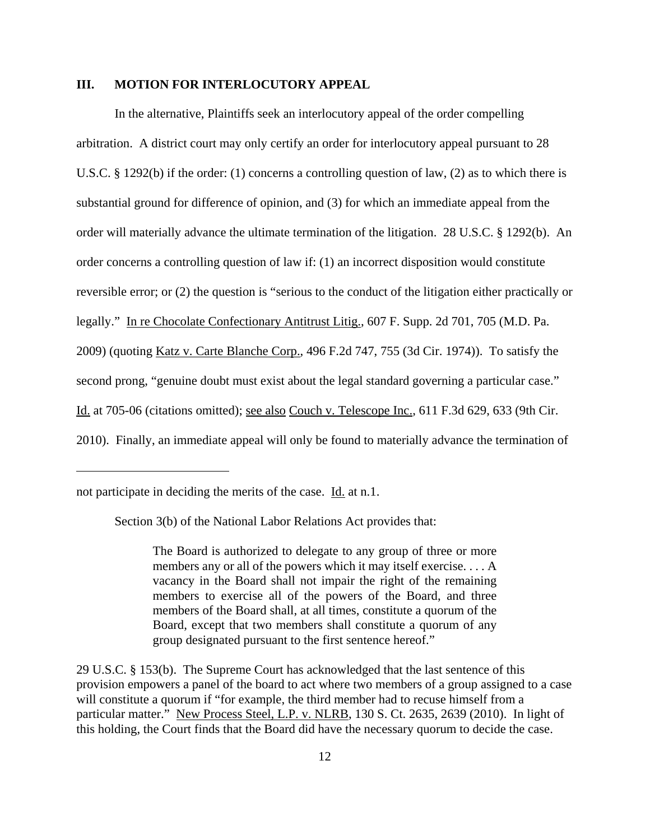## **III. MOTION FOR INTERLOCUTORY APPEAL**

In the alternative, Plaintiffs seek an interlocutory appeal of the order compelling arbitration. A district court may only certify an order for interlocutory appeal pursuant to 28 U.S.C. § 1292(b) if the order: (1) concerns a controlling question of law, (2) as to which there is substantial ground for difference of opinion, and (3) for which an immediate appeal from the order will materially advance the ultimate termination of the litigation. 28 U.S.C. § 1292(b). An order concerns a controlling question of law if: (1) an incorrect disposition would constitute reversible error; or (2) the question is "serious to the conduct of the litigation either practically or legally." In re Chocolate Confectionary Antitrust Litig., 607 F. Supp. 2d 701, 705 (M.D. Pa. 2009) (quoting Katz v. Carte Blanche Corp., 496 F.2d 747, 755 (3d Cir. 1974)). To satisfy the second prong, "genuine doubt must exist about the legal standard governing a particular case." Id. at 705-06 (citations omitted); see also Couch v. Telescope Inc., 611 F.3d 629, 633 (9th Cir. 2010). Finally, an immediate appeal will only be found to materially advance the termination of

Section 3(b) of the National Labor Relations Act provides that:

The Board is authorized to delegate to any group of three or more members any or all of the powers which it may itself exercise. . . . A vacancy in the Board shall not impair the right of the remaining members to exercise all of the powers of the Board, and three members of the Board shall, at all times, constitute a quorum of the Board, except that two members shall constitute a quorum of any group designated pursuant to the first sentence hereof."

29 U.S.C. § 153(b). The Supreme Court has acknowledged that the last sentence of this provision empowers a panel of the board to act where two members of a group assigned to a case will constitute a quorum if "for example, the third member had to recuse himself from a particular matter." New Process Steel, L.P. v. NLRB, 130 S. Ct. 2635, 2639 (2010). In light of this holding, the Court finds that the Board did have the necessary quorum to decide the case.

not participate in deciding the merits of the case. Id. at n.1.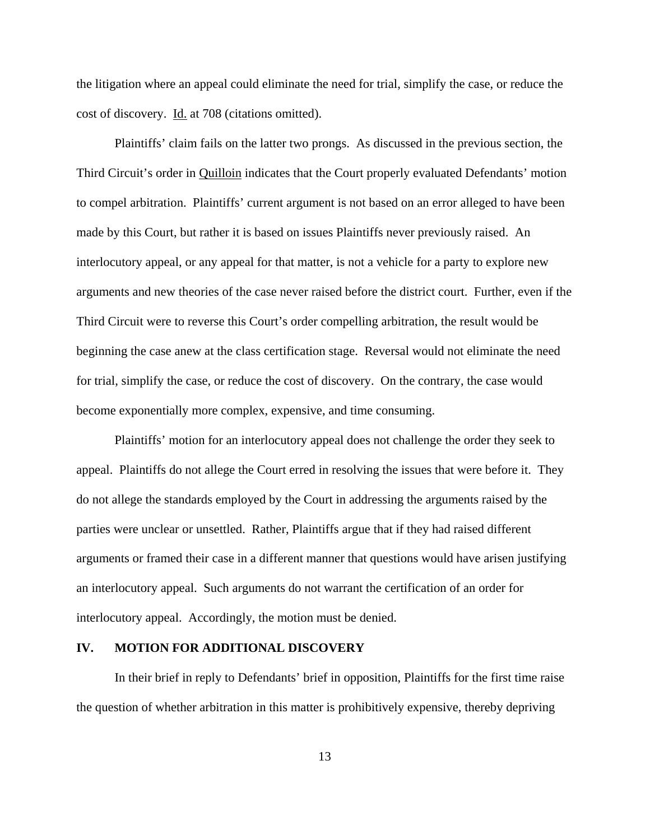the litigation where an appeal could eliminate the need for trial, simplify the case, or reduce the cost of discovery. Id. at 708 (citations omitted).

Plaintiffs' claim fails on the latter two prongs. As discussed in the previous section, the Third Circuit's order in Quilloin indicates that the Court properly evaluated Defendants' motion to compel arbitration. Plaintiffs' current argument is not based on an error alleged to have been made by this Court, but rather it is based on issues Plaintiffs never previously raised. An interlocutory appeal, or any appeal for that matter, is not a vehicle for a party to explore new arguments and new theories of the case never raised before the district court. Further, even if the Third Circuit were to reverse this Court's order compelling arbitration, the result would be beginning the case anew at the class certification stage. Reversal would not eliminate the need for trial, simplify the case, or reduce the cost of discovery. On the contrary, the case would become exponentially more complex, expensive, and time consuming.

Plaintiffs' motion for an interlocutory appeal does not challenge the order they seek to appeal. Plaintiffs do not allege the Court erred in resolving the issues that were before it. They do not allege the standards employed by the Court in addressing the arguments raised by the parties were unclear or unsettled. Rather, Plaintiffs argue that if they had raised different arguments or framed their case in a different manner that questions would have arisen justifying an interlocutory appeal. Such arguments do not warrant the certification of an order for interlocutory appeal. Accordingly, the motion must be denied.

## **IV. MOTION FOR ADDITIONAL DISCOVERY**

In their brief in reply to Defendants' brief in opposition, Plaintiffs for the first time raise the question of whether arbitration in this matter is prohibitively expensive, thereby depriving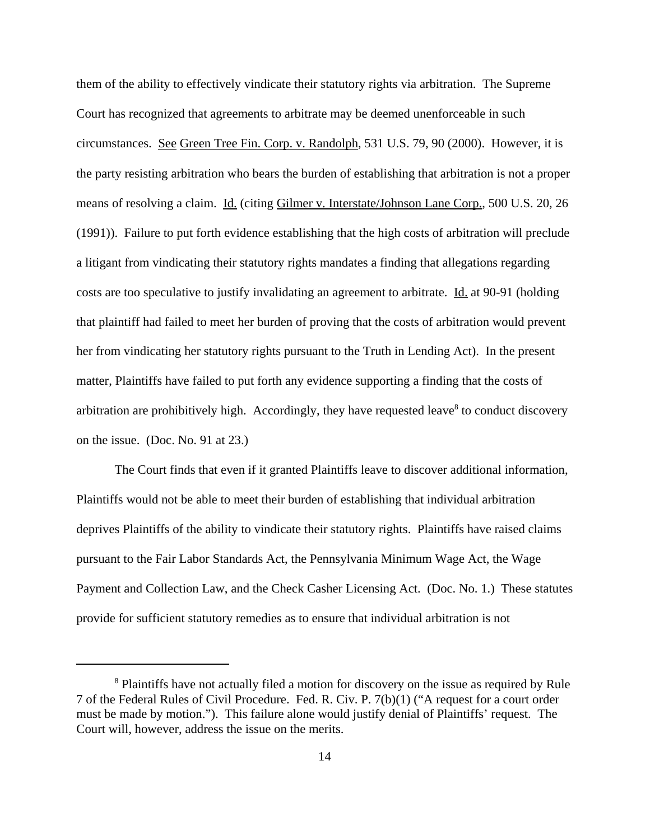them of the ability to effectively vindicate their statutory rights via arbitration. The Supreme Court has recognized that agreements to arbitrate may be deemed unenforceable in such circumstances.See Green Tree Fin. Corp. v. Randolph, 531 U.S. 79, 90 (2000). However, it is the party resisting arbitration who bears the burden of establishing that arbitration is not a proper means of resolving a claim. Id. (citing Gilmer v. Interstate/Johnson Lane Corp., 500 U.S. 20, 26 (1991)). Failure to put forth evidence establishing that the high costs of arbitration will preclude a litigant from vindicating their statutory rights mandates a finding that allegations regarding costs are too speculative to justify invalidating an agreement to arbitrate. Id. at 90-91 (holding that plaintiff had failed to meet her burden of proving that the costs of arbitration would prevent her from vindicating her statutory rights pursuant to the Truth in Lending Act). In the present matter, Plaintiffs have failed to put forth any evidence supporting a finding that the costs of arbitration are prohibitively high. Accordingly, they have requested leave<sup>8</sup> to conduct discovery on the issue. (Doc. No. 91 at 23.)

The Court finds that even if it granted Plaintiffs leave to discover additional information, Plaintiffs would not be able to meet their burden of establishing that individual arbitration deprives Plaintiffs of the ability to vindicate their statutory rights. Plaintiffs have raised claims pursuant to the Fair Labor Standards Act, the Pennsylvania Minimum Wage Act, the Wage Payment and Collection Law, and the Check Casher Licensing Act. (Doc. No. 1.) These statutes provide for sufficient statutory remedies as to ensure that individual arbitration is not

<sup>&</sup>lt;sup>8</sup> Plaintiffs have not actually filed a motion for discovery on the issue as required by Rule 7 of the Federal Rules of Civil Procedure. Fed. R. Civ. P. 7(b)(1) ("A request for a court order must be made by motion."). This failure alone would justify denial of Plaintiffs' request. The Court will, however, address the issue on the merits.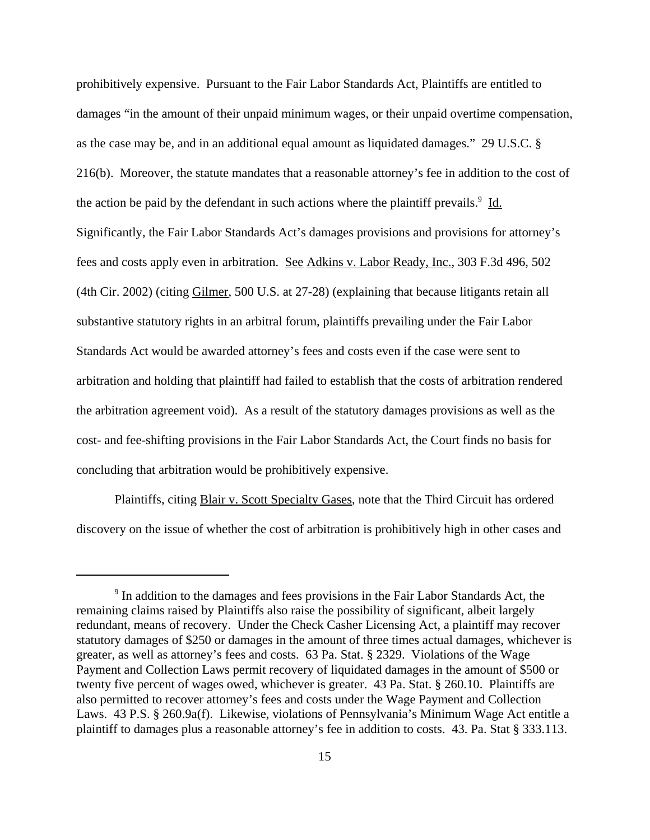prohibitively expensive. Pursuant to the Fair Labor Standards Act, Plaintiffs are entitled to damages "in the amount of their unpaid minimum wages, or their unpaid overtime compensation, as the case may be, and in an additional equal amount as liquidated damages." 29 U.S.C. § 216(b). Moreover, the statute mandates that a reasonable attorney's fee in addition to the cost of the action be paid by the defendant in such actions where the plaintiff prevails.<sup>9</sup> Id. Significantly, the Fair Labor Standards Act's damages provisions and provisions for attorney's fees and costs apply even in arbitration. See Adkins v. Labor Ready, Inc., 303 F.3d 496, 502 (4th Cir. 2002) (citing Gilmer, 500 U.S. at 27-28) (explaining that because litigants retain all substantive statutory rights in an arbitral forum, plaintiffs prevailing under the Fair Labor Standards Act would be awarded attorney's fees and costs even if the case were sent to arbitration and holding that plaintiff had failed to establish that the costs of arbitration rendered the arbitration agreement void). As a result of the statutory damages provisions as well as the cost- and fee-shifting provisions in the Fair Labor Standards Act, the Court finds no basis for concluding that arbitration would be prohibitively expensive.

Plaintiffs, citing Blair v. Scott Specialty Gases, note that the Third Circuit has ordered discovery on the issue of whether the cost of arbitration is prohibitively high in other cases and

<sup>&</sup>lt;sup>9</sup> In addition to the damages and fees provisions in the Fair Labor Standards Act, the remaining claims raised by Plaintiffs also raise the possibility of significant, albeit largely redundant, means of recovery. Under the Check Casher Licensing Act, a plaintiff may recover statutory damages of \$250 or damages in the amount of three times actual damages, whichever is greater, as well as attorney's fees and costs. 63 Pa. Stat. § 2329. Violations of the Wage Payment and Collection Laws permit recovery of liquidated damages in the amount of \$500 or twenty five percent of wages owed, whichever is greater. 43 Pa. Stat. § 260.10. Plaintiffs are also permitted to recover attorney's fees and costs under the Wage Payment and Collection Laws. 43 P.S. § 260.9a(f). Likewise, violations of Pennsylvania's Minimum Wage Act entitle a plaintiff to damages plus a reasonable attorney's fee in addition to costs. 43. Pa. Stat § 333.113.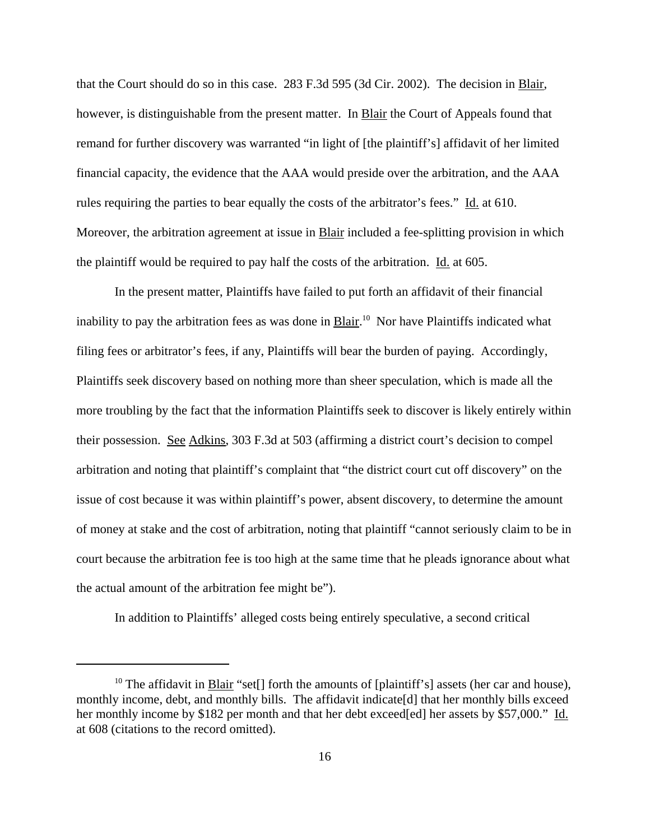that the Court should do so in this case. 283 F.3d 595 (3d Cir. 2002). The decision in Blair, however, is distinguishable from the present matter. In **Blair** the Court of Appeals found that remand for further discovery was warranted "in light of [the plaintiff's] affidavit of her limited financial capacity, the evidence that the AAA would preside over the arbitration, and the AAA rules requiring the parties to bear equally the costs of the arbitrator's fees." Id. at 610. Moreover, the arbitration agreement at issue in Blair included a fee-splitting provision in which the plaintiff would be required to pay half the costs of the arbitration. Id. at 605.

In the present matter, Plaintiffs have failed to put forth an affidavit of their financial inability to pay the arbitration fees as was done in **Blair**.<sup>10</sup> Nor have Plaintiffs indicated what filing fees or arbitrator's fees, if any, Plaintiffs will bear the burden of paying. Accordingly, Plaintiffs seek discovery based on nothing more than sheer speculation, which is made all the more troubling by the fact that the information Plaintiffs seek to discover is likely entirely within their possession. See Adkins, 303 F.3d at 503 (affirming a district court's decision to compel arbitration and noting that plaintiff's complaint that "the district court cut off discovery" on the issue of cost because it was within plaintiff's power, absent discovery, to determine the amount of money at stake and the cost of arbitration, noting that plaintiff "cannot seriously claim to be in court because the arbitration fee is too high at the same time that he pleads ignorance about what the actual amount of the arbitration fee might be").

In addition to Plaintiffs' alleged costs being entirely speculative, a second critical

<sup>&</sup>lt;sup>10</sup> The affidavit in Blair "set[] forth the amounts of [plaintiff's] assets (her car and house), monthly income, debt, and monthly bills. The affidavit indicate[d] that her monthly bills exceed her monthly income by \$182 per month and that her debt exceed[ed] her assets by \$57,000." Id. at 608 (citations to the record omitted).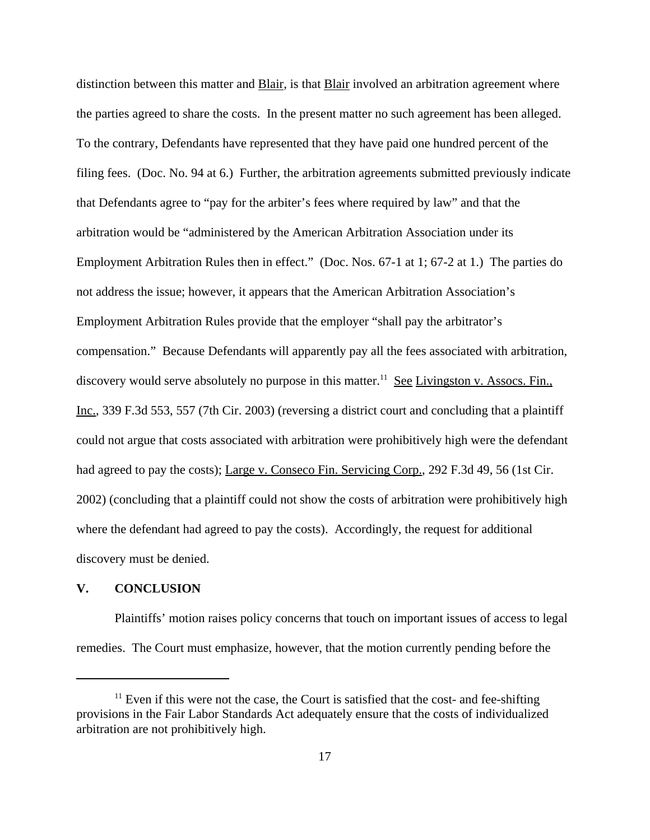distinction between this matter and Blair, is that Blair involved an arbitration agreement where the parties agreed to share the costs. In the present matter no such agreement has been alleged. To the contrary, Defendants have represented that they have paid one hundred percent of the filing fees. (Doc. No. 94 at 6.) Further, the arbitration agreements submitted previously indicate that Defendants agree to "pay for the arbiter's fees where required by law" and that the arbitration would be "administered by the American Arbitration Association under its Employment Arbitration Rules then in effect." (Doc. Nos. 67-1 at 1; 67-2 at 1.) The parties do not address the issue; however, it appears that the American Arbitration Association's Employment Arbitration Rules provide that the employer "shall pay the arbitrator's compensation." Because Defendants will apparently pay all the fees associated with arbitration, discovery would serve absolutely no purpose in this matter.<sup>11</sup> See Livingston v. Assocs. Fin., Inc., 339 F.3d 553, 557 (7th Cir. 2003) (reversing a district court and concluding that a plaintiff could not argue that costs associated with arbitration were prohibitively high were the defendant had agreed to pay the costs); Large v. Conseco Fin. Servicing Corp., 292 F.3d 49, 56 (1st Cir. 2002) (concluding that a plaintiff could not show the costs of arbitration were prohibitively high where the defendant had agreed to pay the costs). Accordingly, the request for additional discovery must be denied.

### **V. CONCLUSION**

Plaintiffs' motion raises policy concerns that touch on important issues of access to legal remedies. The Court must emphasize, however, that the motion currently pending before the

 $11$  Even if this were not the case, the Court is satisfied that the cost- and fee-shifting provisions in the Fair Labor Standards Act adequately ensure that the costs of individualized arbitration are not prohibitively high.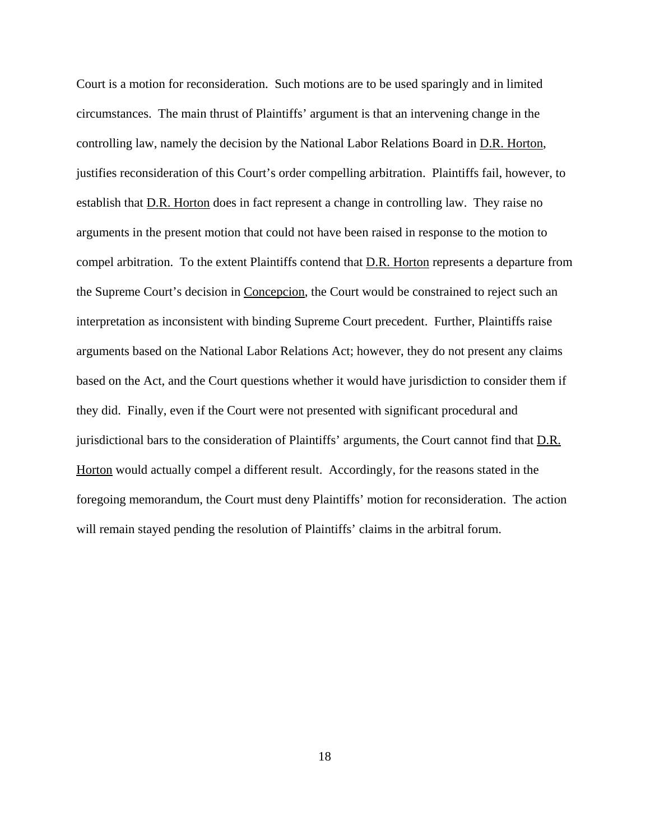Court is a motion for reconsideration. Such motions are to be used sparingly and in limited circumstances. The main thrust of Plaintiffs' argument is that an intervening change in the controlling law, namely the decision by the National Labor Relations Board in D.R. Horton, justifies reconsideration of this Court's order compelling arbitration. Plaintiffs fail, however, to establish that <u>D.R. Horton</u> does in fact represent a change in controlling law. They raise no arguments in the present motion that could not have been raised in response to the motion to compel arbitration. To the extent Plaintiffs contend that **D.R.** Horton represents a departure from the Supreme Court's decision in Concepcion, the Court would be constrained to reject such an interpretation as inconsistent with binding Supreme Court precedent. Further, Plaintiffs raise arguments based on the National Labor Relations Act; however, they do not present any claims based on the Act, and the Court questions whether it would have jurisdiction to consider them if they did. Finally, even if the Court were not presented with significant procedural and jurisdictional bars to the consideration of Plaintiffs' arguments, the Court cannot find that D.R. Horton would actually compel a different result. Accordingly, for the reasons stated in the foregoing memorandum, the Court must deny Plaintiffs' motion for reconsideration. The action will remain stayed pending the resolution of Plaintiffs' claims in the arbitral forum.